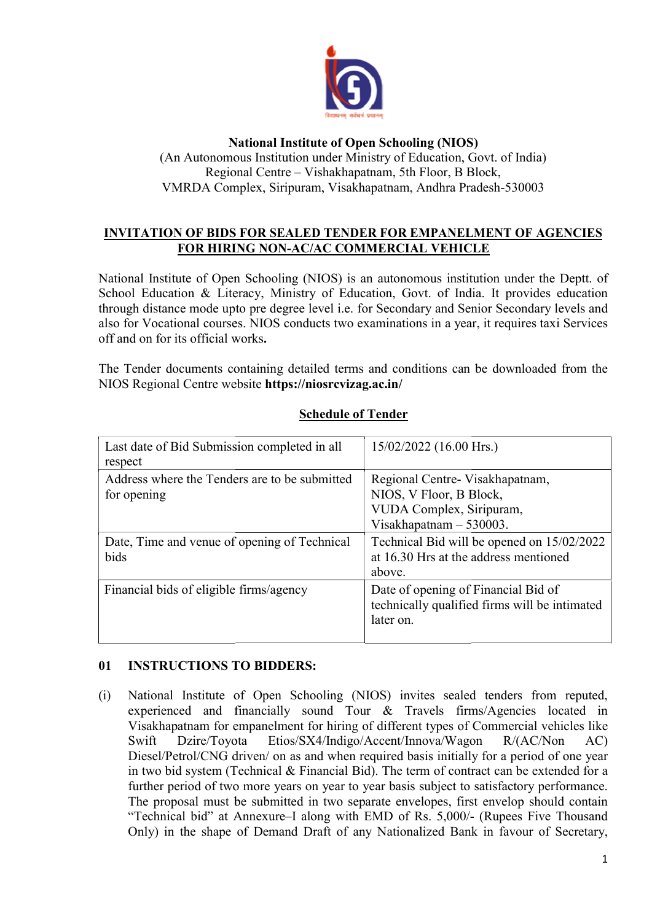

#### National Institute of Open Schooling (NIOS)

(An Autonomous Institution under Ministry of Education, Govt. of India) Regional Centre – Vishakhapatnam, 5th Floor, B Block, VMRDA Complex, Siripuram, Visakhapatnam, Andhra Pradesh-530003

## <u>INVITATION OF BIDS FOR SEALED TENDER FOR EMPANELMENT OF AGENCIES</u> FOR HIRING HIRING NON-AC/AC COMMERCIAL VEHICLE

National Institute of Open Schooling (NIOS) is an autonomous institution under the Deptt. of National Institute of Open Schooling (NIOS) is an autonomous institution under the Deptt. of School Education & Literacy, Ministry of Education, Govt. of India. It provides education through distance mode upto pre degree level i.e. for Secondary and Senior Secondary levels and also for Vocational courses Vocational courses. NIOS conducts two examinations in a year, it requires taxi Services off and on for its official works .

The Tender documents containing detailed terms and conditions can be downloaded from the NIOS Regional Centre website https://niosrcvizag.ac.in/

| Last date of Bid Submission completed in all<br>respect      | $15/02/2022$ (16.00 Hrs.)                                                                                           |
|--------------------------------------------------------------|---------------------------------------------------------------------------------------------------------------------|
| Address where the Tenders are to be submitted<br>for opening | Regional Centre- Visakhapatnam,<br>NIOS, V Floor, B Block,<br>VUDA Complex, Siripuram,<br>Visakhapatnam $-530003$ . |
| Date, Time and venue of opening of Technical<br>bids         | Technical Bid will be opened on 15/02/2022<br>at 16.30 Hrs at the address mentioned<br>above.                       |
| Financial bids of eligible firms/agency                      | Date of opening of Financial Bid of<br>technically qualified firms will be intimated<br>later on.                   |

## Schedule of Tender

## 01 INSTRUCTIONS TO BIDDERS:

(i) National Institute of Open Schooling (NIOS) invites sealed tenders f from reputed, experienced and financially sound Tour & Travels firms/ firms/Agencies located in experienced and financially sound Tour & Travels firms/Agencies located in Visakhapatnam for empanelment for hiring of different types of Commercial vehicles like Swift Dzire/Toyota Swift Dzire/Toyota Etios/SX4/Indigo/Accent/Innova/Wagon R/(AC/Non AC)<br>Diesel/Petrol/CNG driven/ on as and when required basis initially for a period of one year in two bid system (Technical & Financial Bid). The term of contract can be extended for a further period of two more years on year to year basis subject to satisfactory performance. The proposal must be submitted in two separate envelopes, first envelop should contain The proposal must be submitted in two separate envelopes, first envelop should contain "Technical bid" at Annexure–I along with EMD of Rs. 5,000/- (Rupees Five Thousand Only) in the shape of Demand Draft of any Nationalized Bank in favour of Secretary, Etios/SX4/Indigo/Accent/Innova/Wagon R/(AC/Non AC)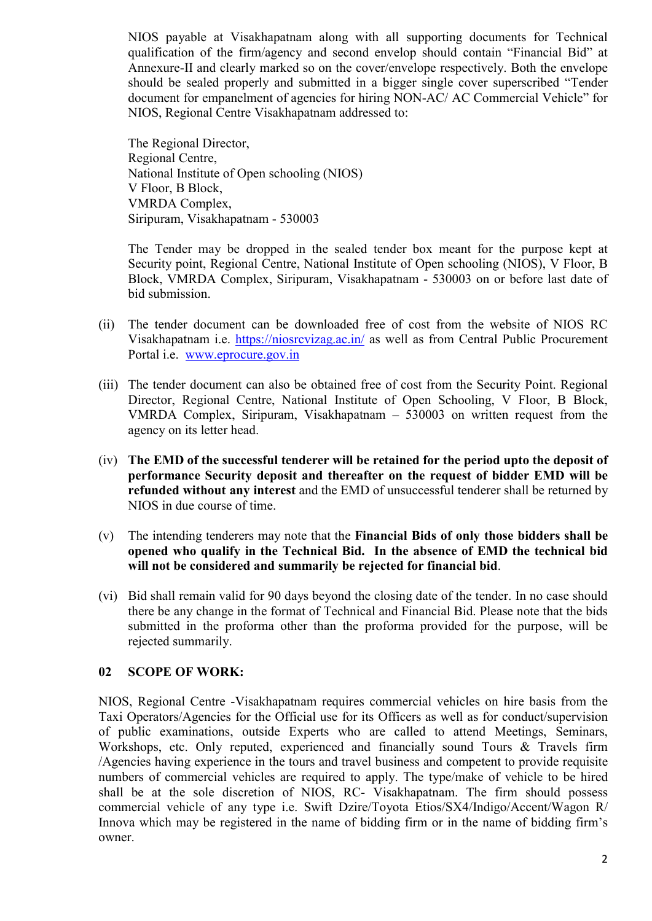NIOS payable at Visakhapatnam along with all supporting documents for Technical qualification of the firm/agency and second envelop should contain "Financial Bid" at Annexure-II and clearly marked so on the cover/envelope respectively. Both the envelope should be sealed properly and submitted in a bigger single cover superscribed "Tender document for empanelment of agencies for hiring NON-AC/ AC Commercial Vehicle" for NIOS, Regional Centre Visakhapatnam addressed to:

The Regional Director, Regional Centre, National Institute of Open schooling (NIOS) V Floor, B Block, VMRDA Complex, Siripuram, Visakhapatnam - 530003

The Tender may be dropped in the sealed tender box meant for the purpose kept at Security point, Regional Centre, National Institute of Open schooling (NIOS), V Floor, B Block, VMRDA Complex, Siripuram, Visakhapatnam - 530003 on or before last date of bid submission.

- (ii) The tender document can be downloaded free of cost from the website of NIOS RC Visakhapatnam i.e. https://niosrcvizag.ac.in/ as well as from Central Public Procurement Portal i.e. www.eprocure.gov.in
- (iii) The tender document can also be obtained free of cost from the Security Point. Regional Director, Regional Centre, National Institute of Open Schooling, V Floor, B Block, VMRDA Complex, Siripuram, Visakhapatnam – 530003 on written request from the agency on its letter head.
- (iv) The EMD of the successful tenderer will be retained for the period upto the deposit of performance Security deposit and thereafter on the request of bidder EMD will be refunded without any interest and the EMD of unsuccessful tenderer shall be returned by NIOS in due course of time.
- (v) The intending tenderers may note that the Financial Bids of only those bidders shall be opened who qualify in the Technical Bid. In the absence of EMD the technical bid will not be considered and summarily be rejected for financial bid.
- (vi) Bid shall remain valid for 90 days beyond the closing date of the tender. In no case should there be any change in the format of Technical and Financial Bid. Please note that the bids submitted in the proforma other than the proforma provided for the purpose, will be rejected summarily.

## 02 SCOPE OF WORK:

NIOS, Regional Centre -Visakhapatnam requires commercial vehicles on hire basis from the Taxi Operators/Agencies for the Official use for its Officers as well as for conduct/supervision of public examinations, outside Experts who are called to attend Meetings, Seminars, Workshops, etc. Only reputed, experienced and financially sound Tours & Travels firm /Agencies having experience in the tours and travel business and competent to provide requisite numbers of commercial vehicles are required to apply. The type/make of vehicle to be hired shall be at the sole discretion of NIOS, RC- Visakhapatnam. The firm should possess commercial vehicle of any type i.e. Swift Dzire/Toyota Etios/SX4/Indigo/Accent/Wagon R/ Innova which may be registered in the name of bidding firm or in the name of bidding firm's owner.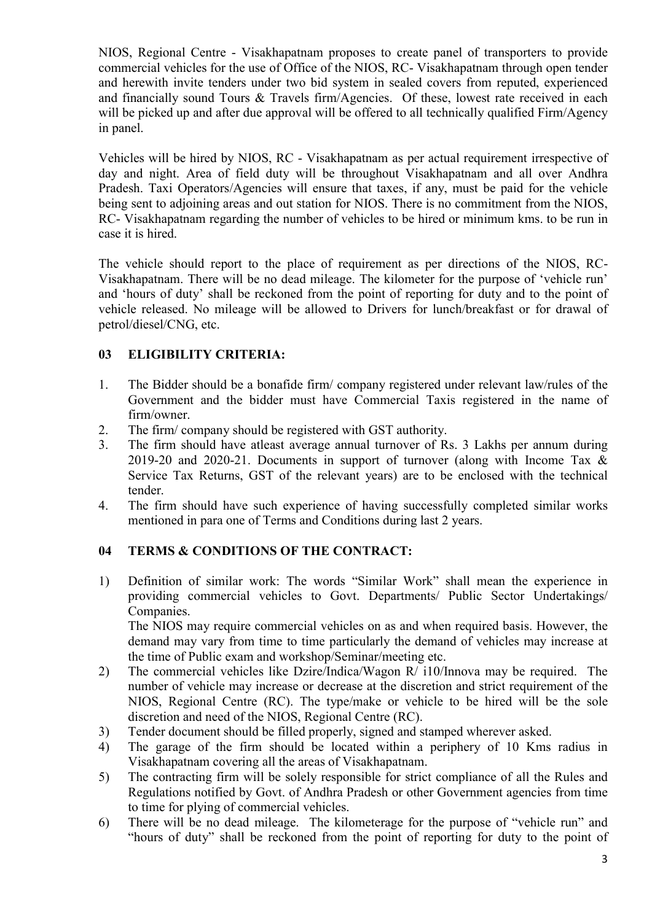NIOS, Regional Centre - Visakhapatnam proposes to create panel of transporters to provide commercial vehicles for the use of Office of the NIOS, RC- Visakhapatnam through open tender and herewith invite tenders under two bid system in sealed covers from reputed, experienced and financially sound Tours & Travels firm/Agencies. Of these, lowest rate received in each will be picked up and after due approval will be offered to all technically qualified Firm/Agency in panel.

Vehicles will be hired by NIOS, RC - Visakhapatnam as per actual requirement irrespective of day and night. Area of field duty will be throughout Visakhapatnam and all over Andhra Pradesh. Taxi Operators/Agencies will ensure that taxes, if any, must be paid for the vehicle being sent to adjoining areas and out station for NIOS. There is no commitment from the NIOS, RC- Visakhapatnam regarding the number of vehicles to be hired or minimum kms. to be run in case it is hired.

The vehicle should report to the place of requirement as per directions of the NIOS, RC-Visakhapatnam. There will be no dead mileage. The kilometer for the purpose of 'vehicle run' and 'hours of duty' shall be reckoned from the point of reporting for duty and to the point of vehicle released. No mileage will be allowed to Drivers for lunch/breakfast or for drawal of petrol/diesel/CNG, etc.

## 03 ELIGIBILITY CRITERIA:

- 1. The Bidder should be a bonafide firm/ company registered under relevant law/rules of the Government and the bidder must have Commercial Taxis registered in the name of firm/owner.
- 2. The firm/ company should be registered with GST authority.
- 3. The firm should have atleast average annual turnover of Rs. 3 Lakhs per annum during 2019-20 and 2020-21. Documents in support of turnover (along with Income Tax & Service Tax Returns, GST of the relevant years) are to be enclosed with the technical tender.
- 4. The firm should have such experience of having successfully completed similar works mentioned in para one of Terms and Conditions during last 2 years.

## 04 TERMS & CONDITIONS OF THE CONTRACT:

1) Definition of similar work: The words "Similar Work" shall mean the experience in providing commercial vehicles to Govt. Departments/ Public Sector Undertakings/ Companies.

The NIOS may require commercial vehicles on as and when required basis. However, the demand may vary from time to time particularly the demand of vehicles may increase at the time of Public exam and workshop/Seminar/meeting etc.

- 2) The commercial vehicles like Dzire/Indica/Wagon R/ i10/Innova may be required. The number of vehicle may increase or decrease at the discretion and strict requirement of the NIOS, Regional Centre (RC). The type/make or vehicle to be hired will be the sole discretion and need of the NIOS, Regional Centre (RC).
- 3) Tender document should be filled properly, signed and stamped wherever asked.
- 4) The garage of the firm should be located within a periphery of 10 Kms radius in Visakhapatnam covering all the areas of Visakhapatnam.
- 5) The contracting firm will be solely responsible for strict compliance of all the Rules and Regulations notified by Govt. of Andhra Pradesh or other Government agencies from time to time for plying of commercial vehicles.
- 6) There will be no dead mileage. The kilometerage for the purpose of "vehicle run" and "hours of duty" shall be reckoned from the point of reporting for duty to the point of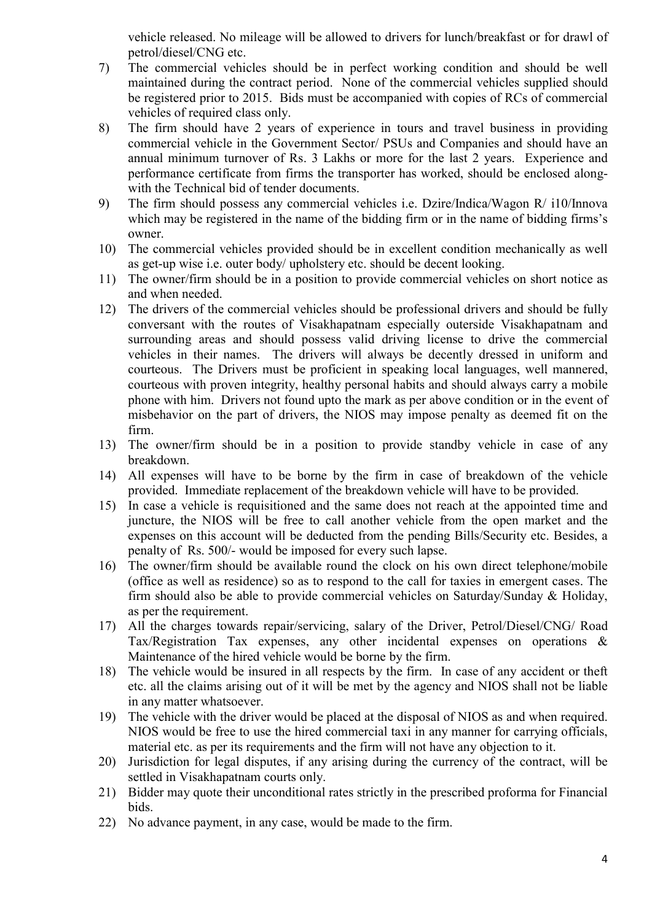vehicle released. No mileage will be allowed to drivers for lunch/breakfast or for drawl of petrol/diesel/CNG etc.

- 7) The commercial vehicles should be in perfect working condition and should be well maintained during the contract period. None of the commercial vehicles supplied should be registered prior to 2015. Bids must be accompanied with copies of RCs of commercial vehicles of required class only.
- 8) The firm should have 2 years of experience in tours and travel business in providing commercial vehicle in the Government Sector/ PSUs and Companies and should have an annual minimum turnover of Rs. 3 Lakhs or more for the last 2 years. Experience and performance certificate from firms the transporter has worked, should be enclosed alongwith the Technical bid of tender documents.
- 9) The firm should possess any commercial vehicles i.e. Dzire/Indica/Wagon R/ i10/Innova which may be registered in the name of the bidding firm or in the name of bidding firms's owner.
- 10) The commercial vehicles provided should be in excellent condition mechanically as well as get-up wise i.e. outer body/ upholstery etc. should be decent looking.
- 11) The owner/firm should be in a position to provide commercial vehicles on short notice as and when needed.
- 12) The drivers of the commercial vehicles should be professional drivers and should be fully conversant with the routes of Visakhapatnam especially outerside Visakhapatnam and surrounding areas and should possess valid driving license to drive the commercial vehicles in their names. The drivers will always be decently dressed in uniform and courteous. The Drivers must be proficient in speaking local languages, well mannered, courteous with proven integrity, healthy personal habits and should always carry a mobile phone with him. Drivers not found upto the mark as per above condition or in the event of misbehavior on the part of drivers, the NIOS may impose penalty as deemed fit on the firm.
- 13) The owner/firm should be in a position to provide standby vehicle in case of any breakdown.
- 14) All expenses will have to be borne by the firm in case of breakdown of the vehicle provided. Immediate replacement of the breakdown vehicle will have to be provided.
- 15) In case a vehicle is requisitioned and the same does not reach at the appointed time and juncture, the NIOS will be free to call another vehicle from the open market and the expenses on this account will be deducted from the pending Bills/Security etc. Besides, a penalty of Rs. 500/- would be imposed for every such lapse.
- 16) The owner/firm should be available round the clock on his own direct telephone/mobile (office as well as residence) so as to respond to the call for taxies in emergent cases. The firm should also be able to provide commercial vehicles on Saturday/Sunday & Holiday, as per the requirement.
- 17) All the charges towards repair/servicing, salary of the Driver, Petrol/Diesel/CNG/ Road Tax/Registration Tax expenses, any other incidental expenses on operations & Maintenance of the hired vehicle would be borne by the firm.
- 18) The vehicle would be insured in all respects by the firm. In case of any accident or theft etc. all the claims arising out of it will be met by the agency and NIOS shall not be liable in any matter whatsoever.
- 19) The vehicle with the driver would be placed at the disposal of NIOS as and when required. NIOS would be free to use the hired commercial taxi in any manner for carrying officials, material etc. as per its requirements and the firm will not have any objection to it.
- 20) Jurisdiction for legal disputes, if any arising during the currency of the contract, will be settled in Visakhapatnam courts only.
- 21) Bidder may quote their unconditional rates strictly in the prescribed proforma for Financial bids.
- 22) No advance payment, in any case, would be made to the firm.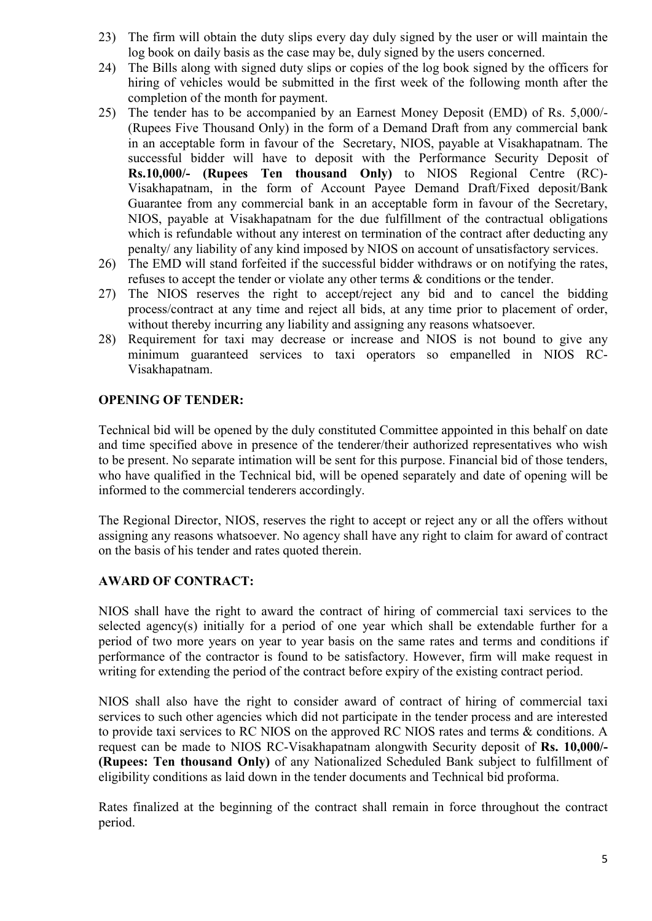- 23) The firm will obtain the duty slips every day duly signed by the user or will maintain the log book on daily basis as the case may be, duly signed by the users concerned.
- 24) The Bills along with signed duty slips or copies of the log book signed by the officers for hiring of vehicles would be submitted in the first week of the following month after the completion of the month for payment.
- 25) The tender has to be accompanied by an Earnest Money Deposit (EMD) of Rs. 5,000/- (Rupees Five Thousand Only) in the form of a Demand Draft from any commercial bank in an acceptable form in favour of the Secretary, NIOS, payable at Visakhapatnam. The successful bidder will have to deposit with the Performance Security Deposit of Rs.10,000/- (Rupees Ten thousand Only) to NIOS Regional Centre (RC)- Visakhapatnam, in the form of Account Payee Demand Draft/Fixed deposit/Bank Guarantee from any commercial bank in an acceptable form in favour of the Secretary, NIOS, payable at Visakhapatnam for the due fulfillment of the contractual obligations which is refundable without any interest on termination of the contract after deducting any penalty/ any liability of any kind imposed by NIOS on account of unsatisfactory services.
- 26) The EMD will stand forfeited if the successful bidder withdraws or on notifying the rates, refuses to accept the tender or violate any other terms & conditions or the tender.
- 27) The NIOS reserves the right to accept/reject any bid and to cancel the bidding process/contract at any time and reject all bids, at any time prior to placement of order, without thereby incurring any liability and assigning any reasons whatsoever.
- 28) Requirement for taxi may decrease or increase and NIOS is not bound to give any minimum guaranteed services to taxi operators so empanelled in NIOS RC-Visakhapatnam.

## OPENING OF TENDER:

Technical bid will be opened by the duly constituted Committee appointed in this behalf on date and time specified above in presence of the tenderer/their authorized representatives who wish to be present. No separate intimation will be sent for this purpose. Financial bid of those tenders, who have qualified in the Technical bid, will be opened separately and date of opening will be informed to the commercial tenderers accordingly.

The Regional Director, NIOS, reserves the right to accept or reject any or all the offers without assigning any reasons whatsoever. No agency shall have any right to claim for award of contract on the basis of his tender and rates quoted therein.

## AWARD OF CONTRACT:

NIOS shall have the right to award the contract of hiring of commercial taxi services to the selected agency(s) initially for a period of one year which shall be extendable further for a period of two more years on year to year basis on the same rates and terms and conditions if performance of the contractor is found to be satisfactory. However, firm will make request in writing for extending the period of the contract before expiry of the existing contract period.

NIOS shall also have the right to consider award of contract of hiring of commercial taxi services to such other agencies which did not participate in the tender process and are interested to provide taxi services to RC NIOS on the approved RC NIOS rates and terms & conditions. A request can be made to NIOS RC-Visakhapatnam alongwith Security deposit of Rs. 10,000/- (Rupees: Ten thousand Only) of any Nationalized Scheduled Bank subject to fulfillment of eligibility conditions as laid down in the tender documents and Technical bid proforma.

Rates finalized at the beginning of the contract shall remain in force throughout the contract period.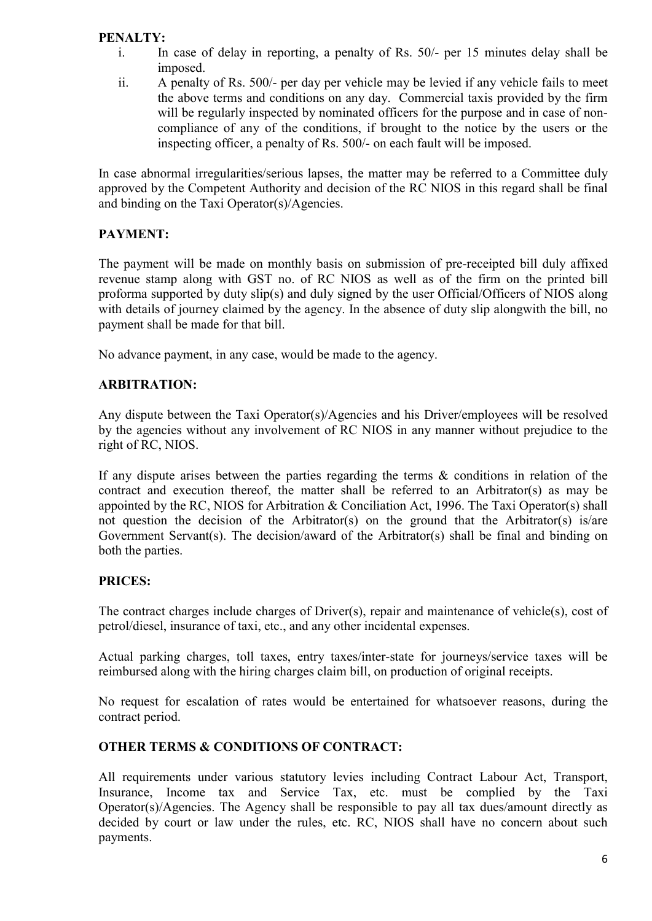## PENALTY:

- i. In case of delay in reporting, a penalty of Rs. 50/- per 15 minutes delay shall be imposed.
- ii. A penalty of Rs. 500/- per day per vehicle may be levied if any vehicle fails to meet the above terms and conditions on any day. Commercial taxis provided by the firm will be regularly inspected by nominated officers for the purpose and in case of noncompliance of any of the conditions, if brought to the notice by the users or the inspecting officer, a penalty of Rs. 500/- on each fault will be imposed.

In case abnormal irregularities/serious lapses, the matter may be referred to a Committee duly approved by the Competent Authority and decision of the RC NIOS in this regard shall be final and binding on the Taxi Operator(s)/Agencies.

## PAYMENT:

The payment will be made on monthly basis on submission of pre-receipted bill duly affixed revenue stamp along with GST no. of RC NIOS as well as of the firm on the printed bill proforma supported by duty slip(s) and duly signed by the user Official/Officers of NIOS along with details of journey claimed by the agency. In the absence of duty slip alongwith the bill, no payment shall be made for that bill.

No advance payment, in any case, would be made to the agency.

## ARBITRATION:

Any dispute between the Taxi Operator(s)/Agencies and his Driver/employees will be resolved by the agencies without any involvement of RC NIOS in any manner without prejudice to the right of RC, NIOS.

If any dispute arises between the parties regarding the terms & conditions in relation of the contract and execution thereof, the matter shall be referred to an Arbitrator(s) as may be appointed by the RC, NIOS for Arbitration & Conciliation Act, 1996. The Taxi Operator(s) shall not question the decision of the Arbitrator(s) on the ground that the Arbitrator(s) is/are Government Servant(s). The decision/award of the Arbitrator(s) shall be final and binding on both the parties.

## PRICES:

The contract charges include charges of Driver(s), repair and maintenance of vehicle(s), cost of petrol/diesel, insurance of taxi, etc., and any other incidental expenses.

Actual parking charges, toll taxes, entry taxes/inter-state for journeys/service taxes will be reimbursed along with the hiring charges claim bill, on production of original receipts.

No request for escalation of rates would be entertained for whatsoever reasons, during the contract period.

## OTHER TERMS & CONDITIONS OF CONTRACT:

All requirements under various statutory levies including Contract Labour Act, Transport, Insurance, Income tax and Service Tax, etc. must be complied by the Taxi Operator(s)/Agencies. The Agency shall be responsible to pay all tax dues/amount directly as decided by court or law under the rules, etc. RC, NIOS shall have no concern about such payments.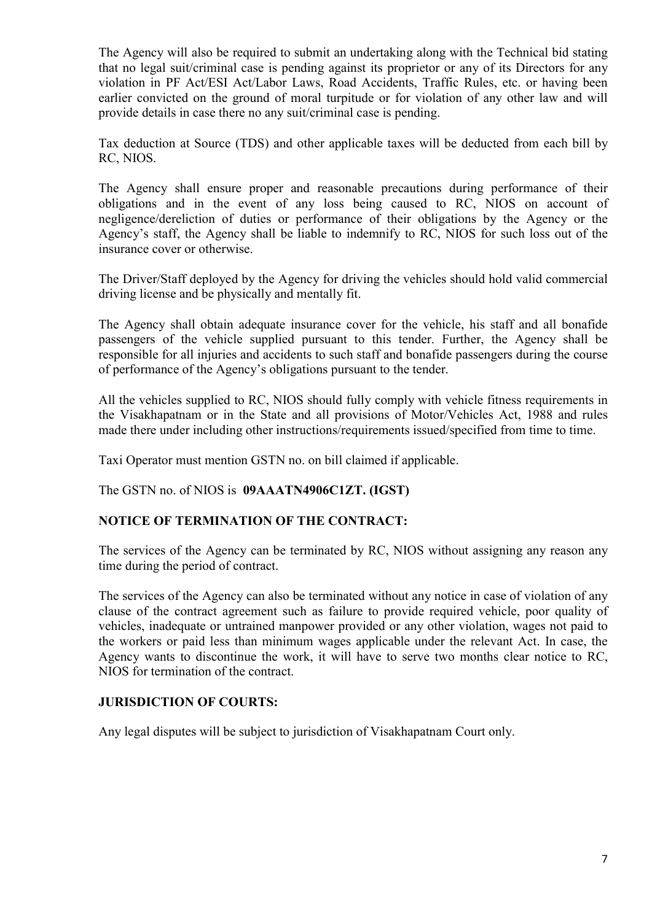The Agency will also be required to submit an undertaking along with the Technical bid stating that no legal suit/criminal case is pending against its proprietor or any of its Directors for any violation in PF Act/ESI Act/Labor Laws, Road Accidents, Traffic Rules, etc. or having been earlier convicted on the ground of moral turpitude or for violation of any other law and will provide details in case there no any suit/criminal case is pending.

Tax deduction at Source (TDS) and other applicable taxes will be deducted from each bill by RC, NIOS.

The Agency shall ensure proper and reasonable precautions during performance of their obligations and in the event of any loss being caused to RC, NIOS on account of negligence/dereliction of duties or performance of their obligations by the Agency or the Agency's staff, the Agency shall be liable to indemnify to RC, NIOS for such loss out of the insurance cover or otherwise.

The Driver/Staff deployed by the Agency for driving the vehicles should hold valid commercial driving license and be physically and mentally fit.

The Agency shall obtain adequate insurance cover for the vehicle, his staff and all bonafide passengers of the vehicle supplied pursuant to this tender. Further, the Agency shall be responsible for all injuries and accidents to such staff and bonafide passengers during the course of performance of the Agency's obligations pursuant to the tender.

All the vehicles supplied to RC, NIOS should fully comply with vehicle fitness requirements in the Visakhapatnam or in the State and all provisions of Motor/Vehicles Act, 1988 and rules made there under including other instructions/requirements issued/specified from time to time.

Taxi Operator must mention GSTN no. on bill claimed if applicable.

The GSTN no. of NIOS is 09AAATN4906C1ZT. (IGST)

## NOTICE OF TERMINATION OF THE CONTRACT:

The services of the Agency can be terminated by RC, NIOS without assigning any reason any time during the period of contract.

The services of the Agency can also be terminated without any notice in case of violation of any clause of the contract agreement such as failure to provide required vehicle, poor quality of vehicles, inadequate or untrained manpower provided or any other violation, wages not paid to the workers or paid less than minimum wages applicable under the relevant Act. In case, the Agency wants to discontinue the work, it will have to serve two months clear notice to RC, NIOS for termination of the contract.

#### JURISDICTION OF COURTS:

Any legal disputes will be subject to jurisdiction of Visakhapatnam Court only.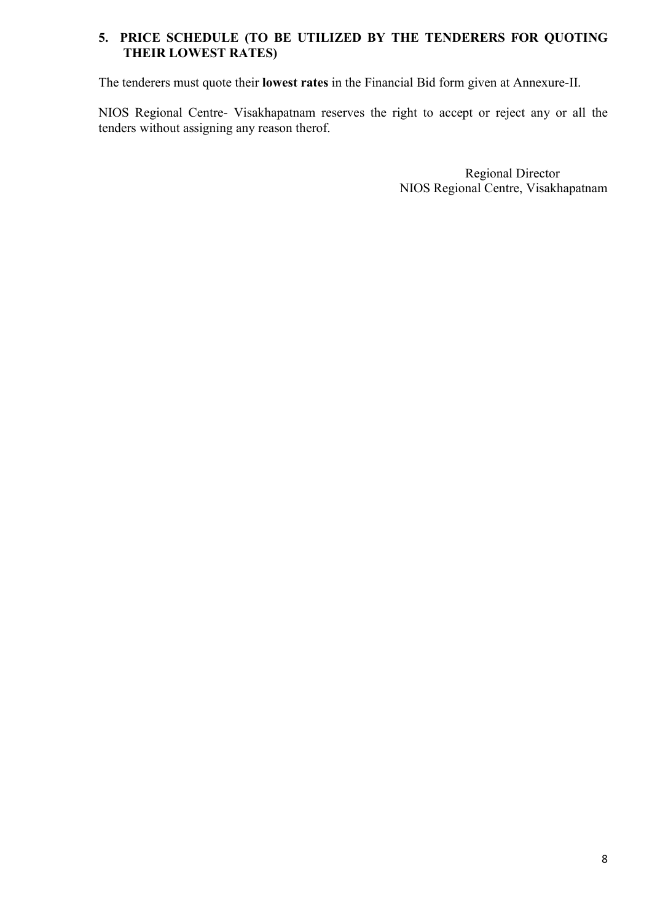## 5. PRICE SCHEDULE (TO BE UTILIZED BY THE TENDERERS FOR QUOTING THEIR LOWEST RATES)

The tenderers must quote their lowest rates in the Financial Bid form given at Annexure-II.

NIOS Regional Centre- Visakhapatnam reserves the right to accept or reject any or all the tenders without assigning any reason therof.

> Regional Director NIOS Regional Centre, Visakhapatnam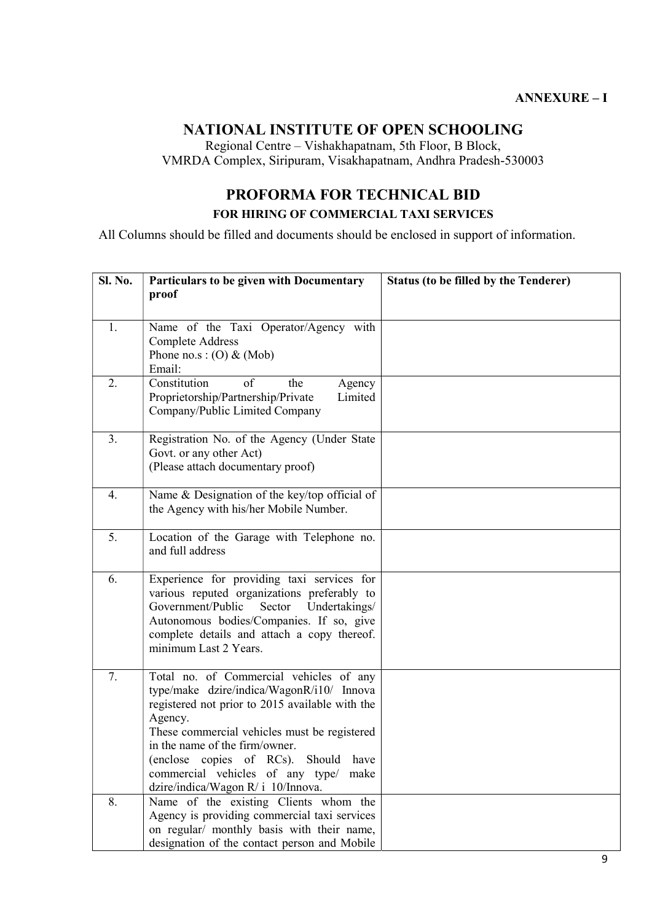# NATIONAL INSTITUTE OF OPEN SCHOOLING

Regional Centre – Vishakhapatnam, 5th Floor, B Block, VMRDA Complex, Siripuram, Visakhapatnam, Andhra Pradesh-530003

## PROFORMA FOR TECHNICAL BID FOR HIRING OF COMMERCIAL TAXI SERVICES

All Columns should be filled and documents should be enclosed in support of information.

| <b>Sl. No.</b> | Particulars to be given with Documentary                                                     | <b>Status (to be filled by the Tenderer)</b> |  |  |  |  |
|----------------|----------------------------------------------------------------------------------------------|----------------------------------------------|--|--|--|--|
|                | proof                                                                                        |                                              |  |  |  |  |
|                |                                                                                              |                                              |  |  |  |  |
| 1.             | Name of the Taxi Operator/Agency with                                                        |                                              |  |  |  |  |
|                | <b>Complete Address</b>                                                                      |                                              |  |  |  |  |
|                | Phone no.s: $(O)$ & (Mob)<br>Email:                                                          |                                              |  |  |  |  |
| 2.             | Constitution<br>of<br>the<br>Agency                                                          |                                              |  |  |  |  |
|                | Limited<br>Proprietorship/Partnership/Private                                                |                                              |  |  |  |  |
|                | Company/Public Limited Company                                                               |                                              |  |  |  |  |
|                |                                                                                              |                                              |  |  |  |  |
| 3.             | Registration No. of the Agency (Under State                                                  |                                              |  |  |  |  |
|                | Govt. or any other Act)                                                                      |                                              |  |  |  |  |
|                | (Please attach documentary proof)                                                            |                                              |  |  |  |  |
| 4.             | Name & Designation of the key/top official of                                                |                                              |  |  |  |  |
|                | the Agency with his/her Mobile Number.                                                       |                                              |  |  |  |  |
|                |                                                                                              |                                              |  |  |  |  |
| 5.             | Location of the Garage with Telephone no.                                                    |                                              |  |  |  |  |
|                | and full address                                                                             |                                              |  |  |  |  |
| 6.             |                                                                                              |                                              |  |  |  |  |
|                | Experience for providing taxi services for<br>various reputed organizations preferably to    |                                              |  |  |  |  |
|                | Government/Public<br>Sector<br>Undertakings/                                                 |                                              |  |  |  |  |
|                | Autonomous bodies/Companies. If so, give                                                     |                                              |  |  |  |  |
|                | complete details and attach a copy thereof.                                                  |                                              |  |  |  |  |
|                | minimum Last 2 Years.                                                                        |                                              |  |  |  |  |
|                |                                                                                              |                                              |  |  |  |  |
| 7.             | Total no. of Commercial vehicles of any                                                      |                                              |  |  |  |  |
|                | type/make dzire/indica/WagonR/i10/ Innova<br>registered not prior to 2015 available with the |                                              |  |  |  |  |
|                | Agency.                                                                                      |                                              |  |  |  |  |
|                | These commercial vehicles must be registered                                                 |                                              |  |  |  |  |
|                | in the name of the firm/owner.                                                               |                                              |  |  |  |  |
|                | (enclose copies of RCs). Should have                                                         |                                              |  |  |  |  |
|                | commercial vehicles of any type/ make                                                        |                                              |  |  |  |  |
|                | dzire/indica/Wagon R/ i 10/Innova.                                                           |                                              |  |  |  |  |
| 8.             | Name of the existing Clients whom the                                                        |                                              |  |  |  |  |
|                | Agency is providing commercial taxi services                                                 |                                              |  |  |  |  |
|                | on regular/ monthly basis with their name,<br>designation of the contact person and Mobile   |                                              |  |  |  |  |
|                |                                                                                              |                                              |  |  |  |  |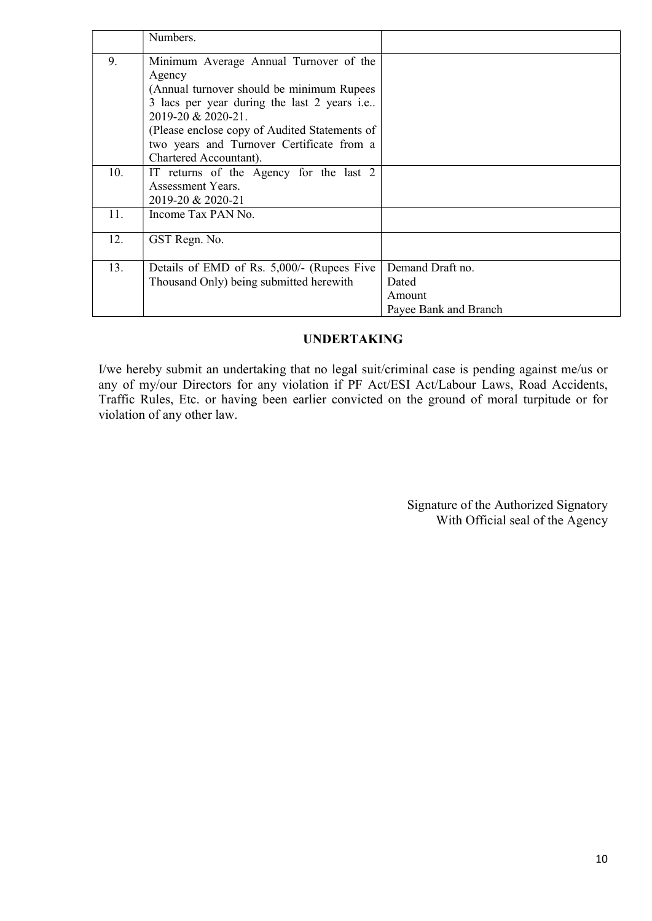|     | Numbers.                                      |                       |
|-----|-----------------------------------------------|-----------------------|
| 9.  | Minimum Average Annual Turnover of the        |                       |
|     | Agency                                        |                       |
|     | (Annual turnover should be minimum Rupees)    |                       |
|     | 3 lacs per year during the last 2 years i.e   |                       |
|     | 2019-20 & 2020-21.                            |                       |
|     | (Please enclose copy of Audited Statements of |                       |
|     | two years and Turnover Certificate from a     |                       |
|     | Chartered Accountant).                        |                       |
| 10. | IT returns of the Agency for the last 2       |                       |
|     | Assessment Years.                             |                       |
|     | 2019-20 & 2020-21                             |                       |
| 11. | Income Tax PAN No.                            |                       |
|     |                                               |                       |
| 12. | GST Regn. No.                                 |                       |
|     |                                               |                       |
| 13. | Details of EMD of Rs. 5,000/- (Rupees Five    | Demand Draft no.      |
|     | Thousand Only) being submitted herewith       | Dated                 |
|     |                                               | Amount                |
|     |                                               | Payee Bank and Branch |

## UNDERTAKING

I/we hereby submit an undertaking that no legal suit/criminal case is pending against me/us or any of my/our Directors for any violation if PF Act/ESI Act/Labour Laws, Road Accidents, Traffic Rules, Etc. or having been earlier convicted on the ground of moral turpitude or for violation of any other law.

> Signature of the Authorized Signatory With Official seal of the Agency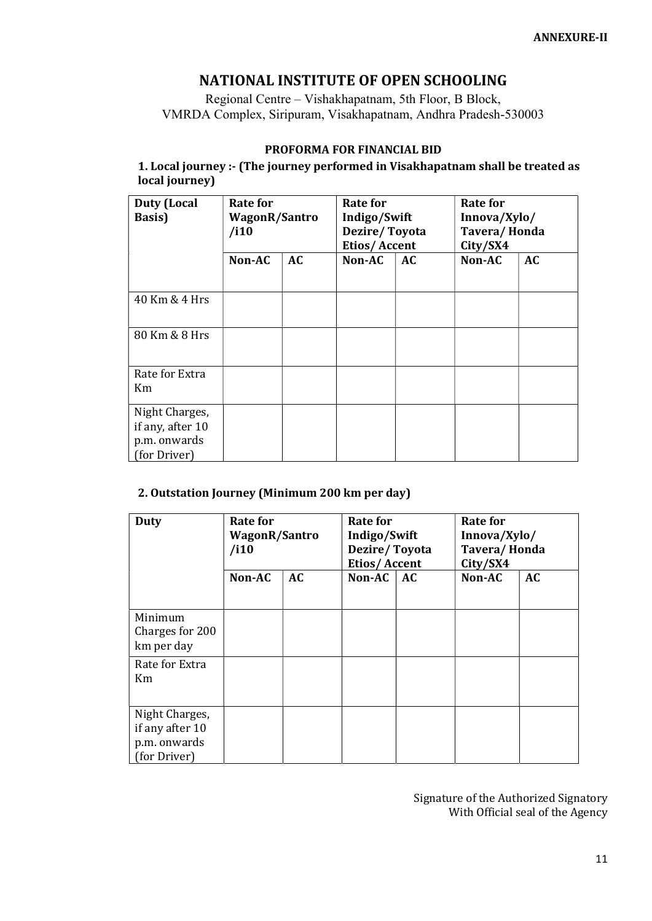## NATIONAL INSTITUTE OF OPEN SCHOOLING

Regional Centre – Vishakhapatnam, 5th Floor, B Block, VMRDA Complex, Siripuram, Visakhapatnam, Andhra Pradesh-530003

#### PROFORMA FOR FINANCIAL BID

1. Local journey :- (The journey performed in Visakhapatnam shall be treated as local journey)

| <b>Duty (Local</b><br><b>Basis</b> )                               | Rate for<br>WagonR/Santro<br>/i10 |           | Rate for<br>Indigo/Swift<br>Dezire/Toyota<br><b>Etios/Accent</b> |    | Rate for<br>Innova/Xylo/<br>Tavera/Honda<br>City/SX4 |           |
|--------------------------------------------------------------------|-----------------------------------|-----------|------------------------------------------------------------------|----|------------------------------------------------------|-----------|
|                                                                    | Non-AC                            | <b>AC</b> | Non-AC                                                           | AC | Non-AC                                               | <b>AC</b> |
| 40 Km & 4 Hrs                                                      |                                   |           |                                                                  |    |                                                      |           |
| 80 Km & 8 Hrs                                                      |                                   |           |                                                                  |    |                                                      |           |
| Rate for Extra<br>Km                                               |                                   |           |                                                                  |    |                                                      |           |
| Night Charges,<br>if any, after 10<br>p.m. onwards<br>(for Driver) |                                   |           |                                                                  |    |                                                      |           |

#### 2. Outstation Journey (Minimum 200 km per day)

| Duty                                                              | <b>Rate for</b><br><b>WagonR/Santro</b><br>/i10 |    | Rate for<br>Indigo/Swift<br>Dezire/Toyota<br>Etios/Accent |    | Rate for<br>Innova/Xylo/<br>Tavera/Honda<br>City/SX4 |           |
|-------------------------------------------------------------------|-------------------------------------------------|----|-----------------------------------------------------------|----|------------------------------------------------------|-----------|
|                                                                   | Non-AC                                          | AC | Non-AC                                                    | AC | Non-AC                                               | <b>AC</b> |
| Minimum<br>Charges for 200<br>km per day                          |                                                 |    |                                                           |    |                                                      |           |
| Rate for Extra<br>K <sub>m</sub>                                  |                                                 |    |                                                           |    |                                                      |           |
| Night Charges,<br>if any after 10<br>p.m. onwards<br>(for Driver) |                                                 |    |                                                           |    |                                                      |           |

Signature of the Authorized Signatory With Official seal of the Agency